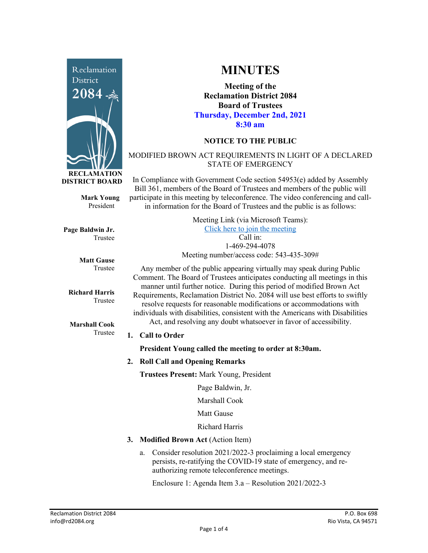

**Mark Young** President

**Page Baldwin Jr.** Trustee

> **Matt Gause** Trustee

**Richard Harris** Trustee

**Marshall Cook** Trustee

# **MINUTES**

**Meeting of the Reclamation District 2084 Board of Trustees Thursday, December 2nd, 2021 8:30 am**

## **NOTICE TO THE PUBLIC**

### MODIFIED BROWN ACT REQUIREMENTS IN LIGHT OF A DECLARED STATE OF EMERGENCY

In Compliance with Government Code section 54953(e) added by Assembly Bill 361, members of the Board of Trustees and members of the public will participate in this meeting by teleconference. The video conferencing and callin information for the Board of Trustees and the public is as follows:

| Meeting Link (via Microsoft Teams):      |
|------------------------------------------|
| Click here to join the meeting           |
| $Call$ in:                               |
| 1-469-294-4078                           |
| Meeting number/access code: 543-435-309# |

Any member of the public appearing virtually may speak during Public Comment. The Board of Trustees anticipates conducting all meetings in this manner until further notice. During this period of modified Brown Act Requirements, Reclamation District No. 2084 will use best efforts to swiftly resolve requests for reasonable modifications or accommodations with individuals with disabilities, consistent with the Americans with Disabilities Act, and resolving any doubt whatsoever in favor of accessibility.

#### **1. Call to Order**

**President Young called the meeting to order at 8:30am.** 

**2. Roll Call and Opening Remarks**

**Trustees Present:** Mark Young, President

Page Baldwin, Jr.

Marshall Cook

Matt Gause

Richard Harris

- **3. Modified Brown Act** (Action Item)
	- a. Consider resolution 2021/2022-3 proclaiming a local emergency persists, re-ratifying the COVID-19 state of emergency, and reauthorizing remote teleconference meetings.

Enclosure 1: Agenda Item 3.a – Resolution 2021/2022-3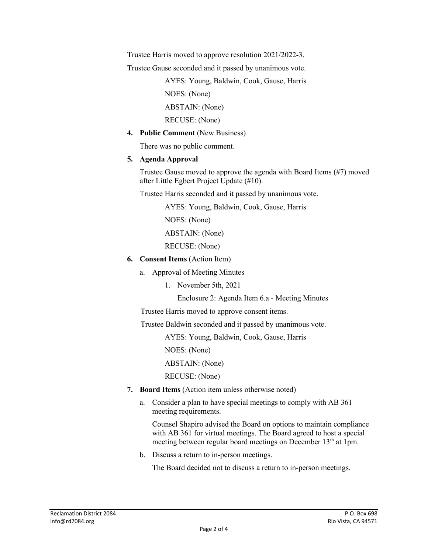Trustee Harris moved to approve resolution 2021/2022-3.

Trustee Gause seconded and it passed by unanimous vote.

 AYES: Young, Baldwin, Cook, Gause, Harris NOES: (None) ABSTAIN: (None)

RECUSE: (None)

**4. Public Comment** (New Business)

There was no public comment.

#### **5. Agenda Approval**

Trustee Gause moved to approve the agenda with Board Items (#7) moved after Little Egbert Project Update (#10).

Trustee Harris seconded and it passed by unanimous vote.

AYES: Young, Baldwin, Cook, Gause, Harris

NOES: (None)

ABSTAIN: (None)

RECUSE: (None)

- **6. Consent Items** (Action Item)
	- a. Approval of Meeting Minutes
		- 1. November 5th, 2021

Enclosure 2: Agenda Item 6.a - Meeting Minutes

Trustee Harris moved to approve consent items.

Trustee Baldwin seconded and it passed by unanimous vote.

AYES: Young, Baldwin, Cook, Gause, Harris

NOES: (None)

ABSTAIN: (None)

RECUSE: (None)

- **7. Board Items** (Action item unless otherwise noted)
	- a. Consider a plan to have special meetings to comply with AB 361 meeting requirements.

Counsel Shapiro advised the Board on options to maintain compliance with AB 361 for virtual meetings. The Board agreed to host a special meeting between regular board meetings on December 13<sup>th</sup> at 1pm.

b. Discuss a return to in-person meetings.

The Board decided not to discuss a return to in-person meetings.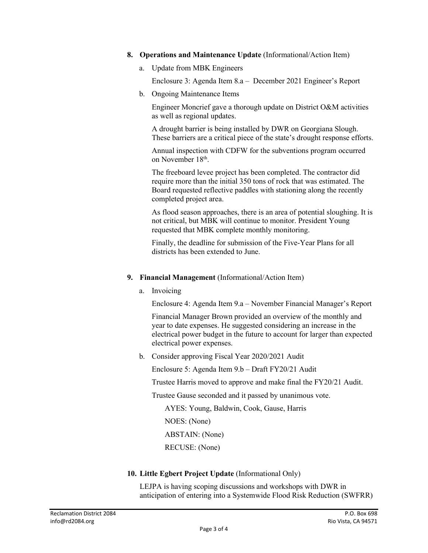- **8. Operations and Maintenance Update** (Informational/Action Item)
	- a. Update from MBK Engineers

Enclosure 3: Agenda Item 8.a – December 2021 Engineer's Report

b. Ongoing Maintenance Items

Engineer Moncrief gave a thorough update on District O&M activities as well as regional updates.

A drought barrier is being installed by DWR on Georgiana Slough. These barriers are a critical piece of the state's drought response efforts.

Annual inspection with CDFW for the subventions program occurred on November 18<sup>th</sup>.

The freeboard levee project has been completed. The contractor did require more than the initial 350 tons of rock that was estimated. The Board requested reflective paddles with stationing along the recently completed project area.

As flood season approaches, there is an area of potential sloughing. It is not critical, but MBK will continue to monitor. President Young requested that MBK complete monthly monitoring.

Finally, the deadline for submission of the Five-Year Plans for all districts has been extended to June.

- **9. Financial Management** (Informational/Action Item)
	- a. Invoicing

Enclosure 4: Agenda Item 9.a – November Financial Manager's Report

Financial Manager Brown provided an overview of the monthly and year to date expenses. He suggested considering an increase in the electrical power budget in the future to account for larger than expected electrical power expenses.

b. Consider approving Fiscal Year 2020/2021 Audit

Enclosure 5: Agenda Item 9.b – Draft FY20/21 Audit

Trustee Harris moved to approve and make final the FY20/21 Audit.

Trustee Gause seconded and it passed by unanimous vote.

 AYES: Young, Baldwin, Cook, Gause, Harris NOES: (None)

ABSTAIN: (None)

RECUSE: (None)

#### **10. Little Egbert Project Update** (Informational Only)

LEJPA is having scoping discussions and workshops with DWR in anticipation of entering into a Systemwide Flood Risk Reduction (SWFRR)